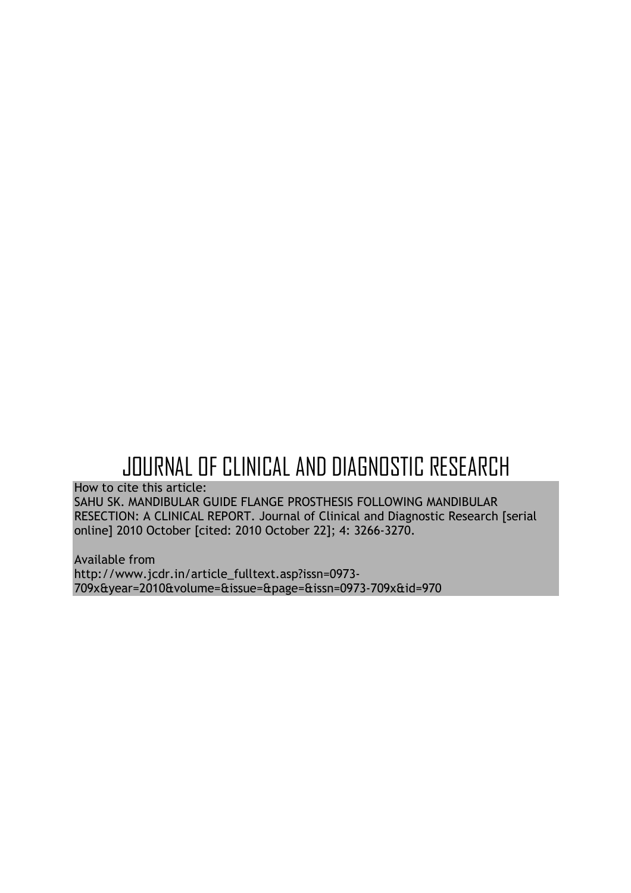# JOURNAL OF CLINICAL AND DIAGNOSTIC RESEARCH

How to cite this article:

SAHU SK. MANDIBULAR GUIDE FLANGE PROSTHESIS FOLLOWING MANDIBULAR RESECTION: A CLINICAL REPORT. Journal of Clinical and Diagnostic Research [serial online] 2010 October [cited: 2010 October 22]; 4: 3266-3270.

Available from http://www.jcdr.in/article\_fulltext.asp?issn=0973-709x&year=2010&volume=&issue=&page=&issn=0973-709x&id=970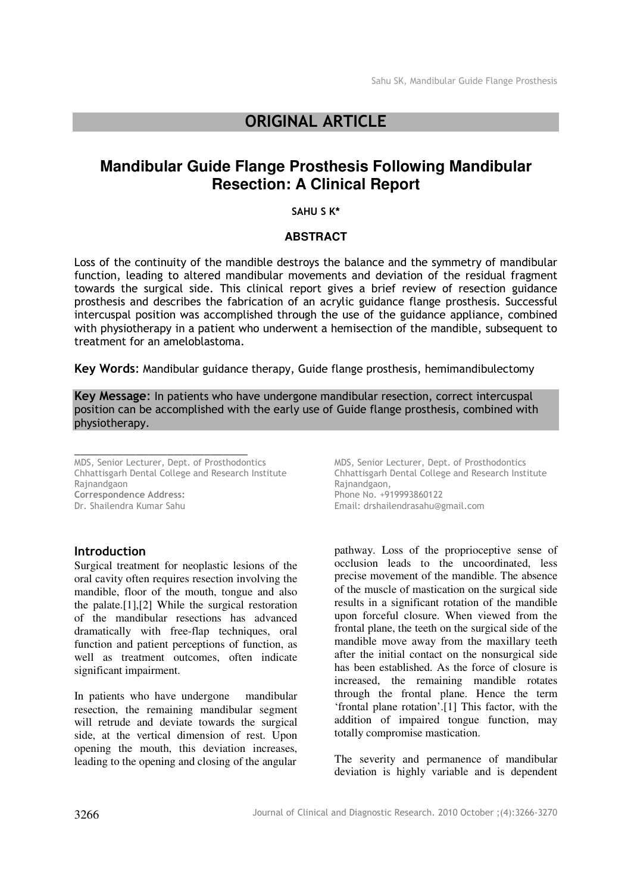# ORIGINAL ARTICLE

# **Mandibular Guide Flange Prosthesis Following Mandibular Resection: A Clinical Report**

#### SAHU S K\*

## **ABSTRACT**

Loss of the continuity of the mandible destroys the balance and the symmetry of mandibular function, leading to altered mandibular movements and deviation of the residual fragment towards the surgical side. This clinical report gives a brief review of resection guidance prosthesis and describes the fabrication of an acrylic guidance flange prosthesis. Successful intercuspal position was accomplished through the use of the guidance appliance, combined with physiotherapy in a patient who underwent a hemisection of the mandible, subsequent to treatment for an ameloblastoma.

Key Words: Mandibular guidance therapy, Guide flange prosthesis, hemimandibulectomy

Key Message: In patients who have undergone mandibular resection, correct intercuspal position can be accomplished with the early use of Guide flange prosthesis, combined with physiotherapy.

MDS, Senior Lecturer, Dept. of Prosthodontics Chhattisgarh Dental College and Research Institute Rajnandgaon Correspondence Address: Dr. Shailendra Kumar Sahu

\_\_\_\_\_\_\_\_\_\_\_\_\_\_\_\_\_\_\_\_\_\_\_\_\_\_\_\_

## Introduction

Surgical treatment for neoplastic lesions of the oral cavity often requires resection involving the mandible, floor of the mouth, tongue and also the palate.[1],[2] While the surgical restoration of the mandibular resections has advanced dramatically with free-flap techniques, oral function and patient perceptions of function, as well as treatment outcomes, often indicate significant impairment.

In patients who have undergone mandibular resection, the remaining mandibular segment will retrude and deviate towards the surgical side, at the vertical dimension of rest. Upon opening the mouth, this deviation increases, leading to the opening and closing of the angular

MDS, Senior Lecturer, Dept. of Prosthodontics Chhattisgarh Dental College and Research Institute Rajnandgaon, Phone No. +919993860122 Email: drshailendrasahu@gmail.com

pathway. Loss of the proprioceptive sense of occlusion leads to the uncoordinated, less precise movement of the mandible. The absence of the muscle of mastication on the surgical side results in a significant rotation of the mandible upon forceful closure. When viewed from the frontal plane, the teeth on the surgical side of the mandible move away from the maxillary teeth after the initial contact on the nonsurgical side has been established. As the force of closure is increased, the remaining mandible rotates through the frontal plane. Hence the term 'frontal plane rotation'.[1] This factor, with the addition of impaired tongue function, may totally compromise mastication.

The severity and permanence of mandibular deviation is highly variable and is dependent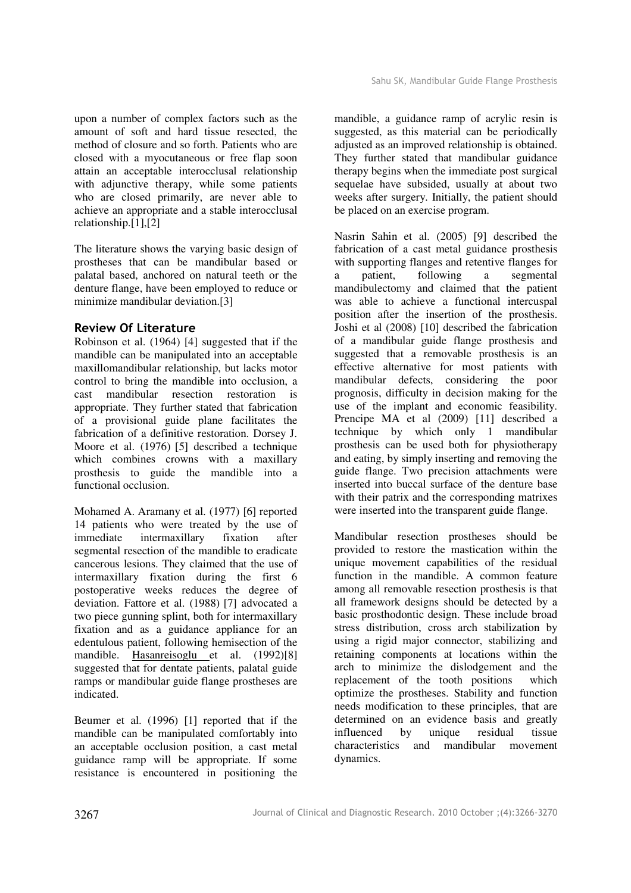upon a number of complex factors such as the amount of soft and hard tissue resected, the method of closure and so forth. Patients who are closed with a myocutaneous or free flap soon attain an acceptable interocclusal relationship with adjunctive therapy, while some patients who are closed primarily, are never able to achieve an appropriate and a stable interocclusal relationship.[1],[2]

The literature shows the varying basic design of prostheses that can be mandibular based or palatal based, anchored on natural teeth or the denture flange, have been employed to reduce or minimize mandibular deviation.[3]

# Review Of Literature

Robinson et al. (1964) [4] suggested that if the mandible can be manipulated into an acceptable maxillomandibular relationship, but lacks motor control to bring the mandible into occlusion, a<br>cast mandibular resection restoration is mandibular resection restoration is appropriate. They further stated that fabrication of a provisional guide plane facilitates the fabrication of a definitive restoration. Dorsey J. Moore et al. (1976) [5] described a technique which combines crowns with a maxillary prosthesis to guide the mandible into a functional occlusion.

Mohamed A. Aramany et al. (1977) [6] reported 14 patients who were treated by the use of immediate intermaxillary fixation after segmental resection of the mandible to eradicate cancerous lesions. They claimed that the use of intermaxillary fixation during the first 6 postoperative weeks reduces the degree of deviation. Fattore et al. (1988) [7] advocated a two piece gunning splint, both for intermaxillary fixation and as a guidance appliance for an edentulous patient, following hemisection of the mandible. Hasanreisoglu et al. (1992)[8] suggested that for dentate patients, palatal guide ramps or mandibular guide flange prostheses are indicated.

Beumer et al. (1996) [1] reported that if the mandible can be manipulated comfortably into an acceptable occlusion position, a cast metal guidance ramp will be appropriate. If some resistance is encountered in positioning the

mandible, a guidance ramp of acrylic resin is suggested, as this material can be periodically adjusted as an improved relationship is obtained. They further stated that mandibular guidance therapy begins when the immediate post surgical sequelae have subsided, usually at about two weeks after surgery. Initially, the patient should be placed on an exercise program.

Nasrin Sahin et al. (2005) [9] described the fabrication of a cast metal guidance prosthesis with supporting flanges and retentive flanges for<br>a patient, following a segmental a patient, following a segmental mandibulectomy and claimed that the patient was able to achieve a functional intercuspal position after the insertion of the prosthesis. Joshi et al (2008) [10] described the fabrication of a mandibular guide flange prosthesis and suggested that a removable prosthesis is an effective alternative for most patients with mandibular defects, considering the poor prognosis, difficulty in decision making for the use of the implant and economic feasibility. Prencipe MA et al (2009) [11] described a technique by which only 1 mandibular prosthesis can be used both for physiotherapy and eating, by simply inserting and removing the guide flange. Two precision attachments were inserted into buccal surface of the denture base with their patrix and the corresponding matrixes were inserted into the transparent guide flange.

Mandibular resection prostheses should be provided to restore the mastication within the unique movement capabilities of the residual function in the mandible. A common feature among all removable resection prosthesis is that all framework designs should be detected by a basic prosthodontic design. These include broad stress distribution, cross arch stabilization by using a rigid major connector, stabilizing and retaining components at locations within the arch to minimize the dislodgement and the replacement of the tooth positions which optimize the prostheses. Stability and function needs modification to these principles, that are determined on an evidence basis and greatly influenced by unique residual tissue characteristics and mandibular movement dynamics.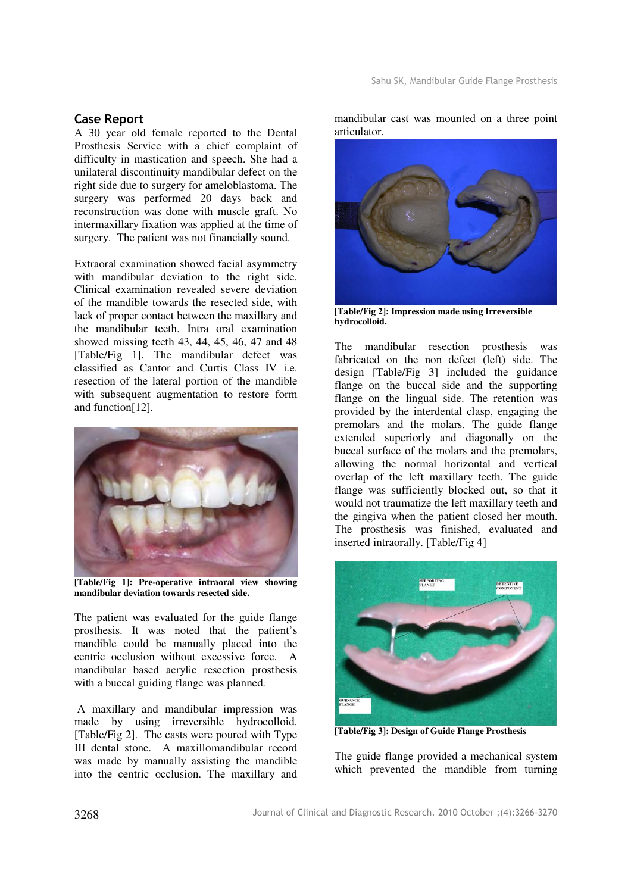# Case Report

A 30 year old female reported to the Dental Prosthesis Service with a chief complaint of difficulty in mastication and speech. She had a unilateral discontinuity mandibular defect on the right side due to surgery for ameloblastoma. The surgery was performed 20 days back and reconstruction was done with muscle graft. No intermaxillary fixation was applied at the time of surgery. The patient was not financially sound.

Extraoral examination showed facial asymmetry with mandibular deviation to the right side. Clinical examination revealed severe deviation of the mandible towards the resected side, with lack of proper contact between the maxillary and the mandibular teeth. Intra oral examination showed missing teeth 43, 44, 45, 46, 47 and 48 [Table/Fig 1]. The mandibular defect was classified as Cantor and Curtis Class IV i.e. resection of the lateral portion of the mandible with subsequent augmentation to restore form and function[12].



**[Table/Fig 1]: Pre-operative intraoral view showing mandibular deviation towards resected side.** 

The patient was evaluated for the guide flange prosthesis. It was noted that the patient's mandible could be manually placed into the centric occlusion without excessive force. A mandibular based acrylic resection prosthesis with a buccal guiding flange was planned.

 A maxillary and mandibular impression was made by using irreversible hydrocolloid. [Table/Fig 2]. The casts were poured with Type III dental stone. A maxillomandibular record was made by manually assisting the mandible into the centric occlusion. The maxillary and

mandibular cast was mounted on a three point articulator.



**[Table/Fig 2]: Impression made using Irreversible hydrocolloid.** 

The mandibular resection prosthesis was fabricated on the non defect (left) side. The design [Table/Fig 3] included the guidance flange on the buccal side and the supporting flange on the lingual side. The retention was provided by the interdental clasp, engaging the premolars and the molars. The guide flange extended superiorly and diagonally on the buccal surface of the molars and the premolars, allowing the normal horizontal and vertical overlap of the left maxillary teeth. The guide flange was sufficiently blocked out, so that it would not traumatize the left maxillary teeth and the gingiva when the patient closed her mouth. The prosthesis was finished, evaluated and inserted intraorally. [Table/Fig 4]



**[Table/Fig 3]: Design of Guide Flange Prosthesis** 

The guide flange provided a mechanical system which prevented the mandible from turning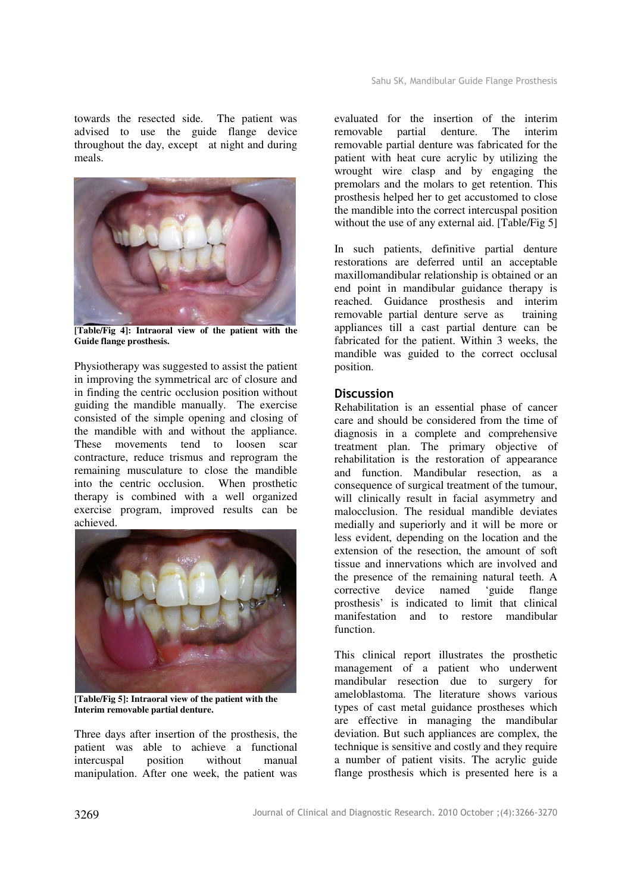towards the resected side. The patient was advised to use the guide flange device throughout the day, except at night and during meals.



**[Table/Fig 4]: Intraoral view of the patient with the Guide flange prosthesis.** 

Physiotherapy was suggested to assist the patient in improving the symmetrical arc of closure and in finding the centric occlusion position without guiding the mandible manually. The exercise consisted of the simple opening and closing of the mandible with and without the appliance. These movements tend to loosen scar contracture, reduce trismus and reprogram the remaining musculature to close the mandible into the centric occlusion. When prosthetic therapy is combined with a well organized exercise program, improved results can be achieved.



**[Table/Fig 5]: Intraoral view of the patient with the Interim removable partial denture.** 

Three days after insertion of the prosthesis, the patient was able to achieve a functional intercuspal position without manual manipulation. After one week, the patient was

evaluated for the insertion of the interim removable partial denture. The interim removable partial denture was fabricated for the patient with heat cure acrylic by utilizing the wrought wire clasp and by engaging the premolars and the molars to get retention. This prosthesis helped her to get accustomed to close the mandible into the correct intercuspal position without the use of any external aid. [Table/Fig 5]

In such patients, definitive partial denture restorations are deferred until an acceptable maxillomandibular relationship is obtained or an end point in mandibular guidance therapy is reached. Guidance prosthesis and interim removable partial denture serve as training appliances till a cast partial denture can be fabricated for the patient. Within 3 weeks, the mandible was guided to the correct occlusal position.

# **Discussion**

Rehabilitation is an essential phase of cancer care and should be considered from the time of diagnosis in a complete and comprehensive treatment plan. The primary objective of rehabilitation is the restoration of appearance and function. Mandibular resection, as a consequence of surgical treatment of the tumour, will clinically result in facial asymmetry and malocclusion. The residual mandible deviates medially and superiorly and it will be more or less evident, depending on the location and the extension of the resection, the amount of soft tissue and innervations which are involved and the presence of the remaining natural teeth. A corrective device named 'guide flange prosthesis' is indicated to limit that clinical manifestation and to restore mandibular function.

This clinical report illustrates the prosthetic management of a patient who underwent mandibular resection due to surgery for ameloblastoma. The literature shows various types of cast metal guidance prostheses which are effective in managing the mandibular deviation. But such appliances are complex, the technique is sensitive and costly and they require a number of patient visits. The acrylic guide flange prosthesis which is presented here is a